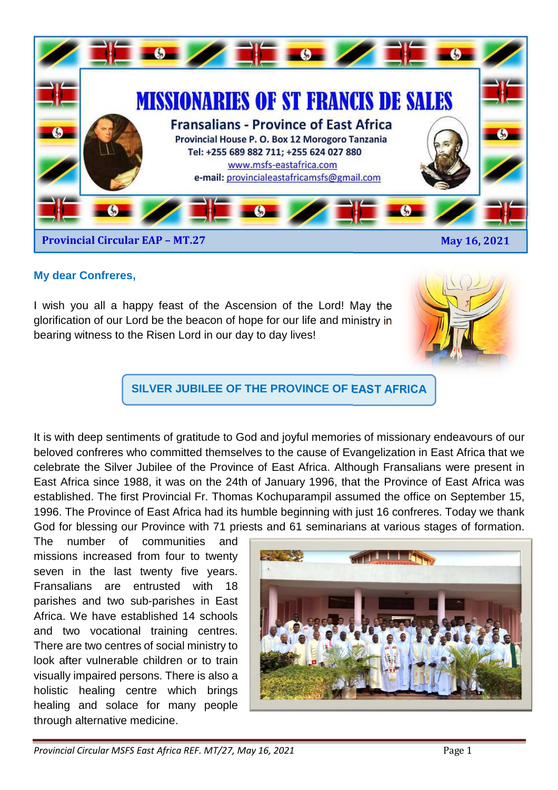

### **My dear Confreres,**

I wish you all a happy feast of the Ascension of the Lord! May the glorification of our Lord be the beacon of hope for our life and ministry in bearing witness to the Risen Lord in our day to day lives!



**SILVER JUBILEE OF THE PROVINCE OF EAST AFRICA**

It is with deep sentiments of gratitude to God and joyful memories of missionary endeavours of our beloved confreres who committed themselves to the cause of Evangelization in East Africa that we celebrate the Silver Jubilee of the Province of East Africa. Although Fransalians were present in East Africa since 1988, it was on the 24th of January 1996, that the Province of East Africa was established. The first Provincial Fr. Thomas Kochuparampil assumed the office on September 15, 1996. The Province of East Africa had its humble beginning with just 16 confreres. Today we thank God for blessing our Province with 71 priests and 61 seminarians at various stages of formation.

The number of communities and missions increased from four to twenty seven in the last twenty five years. Fransalians are entrusted with 18 parishes and two sub-parishes in East Africa. We have established 14 schools and two vocational training centres. There are two centres of social ministry to look after vulnerable children or to train visually impaired persons. There is also a holistic healing centre which brings healing and solace for many people through alternative medicine.

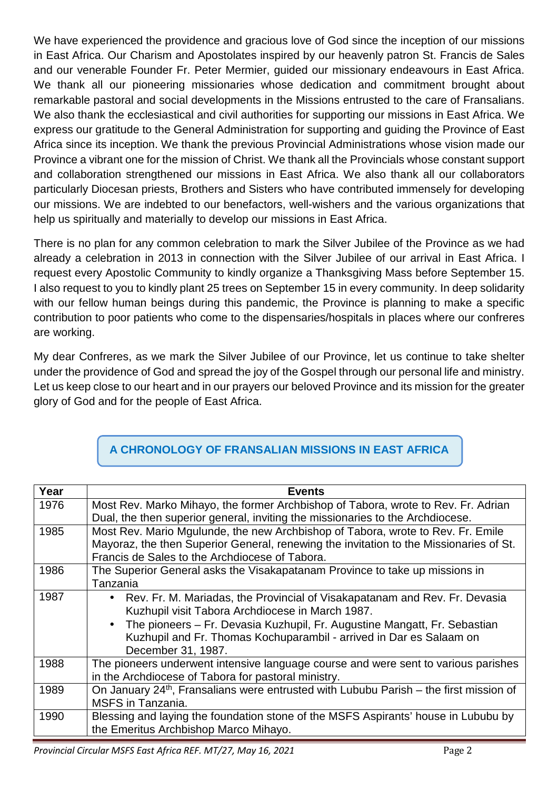We have experienced the providence and gracious love of God since the inception of our missions in East Africa. Our Charism and Apostolates inspired by our heavenly patron St. Francis de Sales and our venerable Founder Fr. Peter Mermier, guided our missionary endeavours in East Africa. We thank all our pioneering missionaries whose dedication and commitment brought about remarkable pastoral and social developments in the Missions entrusted to the care of Fransalians. We also thank the ecclesiastical and civil authorities for supporting our missions in East Africa. We express our gratitude to the General Administration for supporting and guiding the Province of East Africa since its inception. We thank the previous Provincial Administrations whose vision made our Province a vibrant one for the mission of Christ. We thank all the Provincials whose constant support and collaboration strengthened our missions in East Africa. We also thank all our collaborators particularly Diocesan priests, Brothers and Sisters who have contributed immensely for developing our missions. We are indebted to our benefactors, well-wishers and the various organizations that help us spiritually and materially to develop our missions in East Africa.

There is no plan for any common celebration to mark the Silver Jubilee of the Province as we had already a celebration in 2013 in connection with the Silver Jubilee of our arrival in East Africa. I request every Apostolic Community to kindly organize a Thanksgiving Mass before September 15. I also request to you to kindly plant 25 trees on September 15 in every community. In deep solidarity with our fellow human beings during this pandemic, the Province is planning to make a specific contribution to poor patients who come to the dispensaries/hospitals in places where our confreres are working.

My dear Confreres, as we mark the Silver Jubilee of our Province, let us continue to take shelter under the providence of God and spread the joy of the Gospel through our personal life and ministry. Let us keep close to our heart and in our prayers our beloved Province and its mission for the greater glory of God and for the people of East Africa.

| Year | <b>Events</b>                                                                                                                    |
|------|----------------------------------------------------------------------------------------------------------------------------------|
| 1976 | Most Rev. Marko Mihayo, the former Archbishop of Tabora, wrote to Rev. Fr. Adrian                                                |
|      | Dual, the then superior general, inviting the missionaries to the Archdiocese.                                                   |
| 1985 | Most Rev. Mario Mgulunde, the new Archbishop of Tabora, wrote to Rev. Fr. Emile                                                  |
|      | Mayoraz, the then Superior General, renewing the invitation to the Missionaries of St.                                           |
|      | Francis de Sales to the Archdiocese of Tabora.                                                                                   |
| 1986 | The Superior General asks the Visakapatanam Province to take up missions in                                                      |
|      | Tanzania                                                                                                                         |
| 1987 | • Rev. Fr. M. Mariadas, the Provincial of Visakapatanam and Rev. Fr. Devasia<br>Kuzhupil visit Tabora Archdiocese in March 1987. |
|      | The pioneers - Fr. Devasia Kuzhupil, Fr. Augustine Mangatt, Fr. Sebastian                                                        |
|      | Kuzhupil and Fr. Thomas Kochuparambil - arrived in Dar es Salaam on                                                              |
|      | December 31, 1987.                                                                                                               |
| 1988 | The pioneers underwent intensive language course and were sent to various parishes                                               |
|      | in the Archdiocese of Tabora for pastoral ministry.                                                                              |
| 1989 | On January 24 <sup>th</sup> , Fransalians were entrusted with Lububu Parish – the first mission of                               |
|      | <b>MSFS</b> in Tanzania.                                                                                                         |
| 1990 | Blessing and laying the foundation stone of the MSFS Aspirants' house in Lububu by                                               |
|      | the Emeritus Archbishop Marco Mihayo.                                                                                            |

# **A CHRONOLOGY OF FRANSALIAN MISSIONS IN EAST AFRICA**

*Provincial Circular MSFS East Africa REF. MT/27, May 16, 2021* Page 2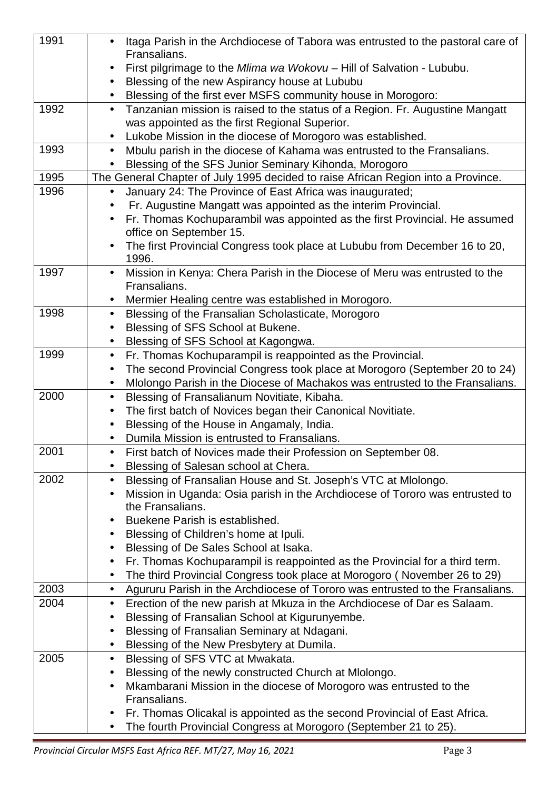| 1991 | Itaga Parish in the Archdiocese of Tabora was entrusted to the pastoral care of<br>$\bullet$                                               |
|------|--------------------------------------------------------------------------------------------------------------------------------------------|
|      | Fransalians.                                                                                                                               |
|      | First pilgrimage to the Mlima wa Wokovu - Hill of Salvation - Lububu.<br>$\bullet$                                                         |
|      | Blessing of the new Aspirancy house at Lububu<br>$\bullet$                                                                                 |
|      | Blessing of the first ever MSFS community house in Morogoro:                                                                               |
| 1992 | Tanzanian mission is raised to the status of a Region. Fr. Augustine Mangatt<br>$\bullet$                                                  |
|      | was appointed as the first Regional Superior.                                                                                              |
| 1993 | Lukobe Mission in the diocese of Morogoro was established.<br>$\bullet$                                                                    |
|      | Mbulu parish in the diocese of Kahama was entrusted to the Fransalians.<br>$\bullet$                                                       |
| 1995 | Blessing of the SFS Junior Seminary Kihonda, Morogoro<br>The General Chapter of July 1995 decided to raise African Region into a Province. |
| 1996 | $\bullet$                                                                                                                                  |
|      | January 24: The Province of East Africa was inaugurated;<br>Fr. Augustine Mangatt was appointed as the interim Provincial.                 |
|      | Fr. Thomas Kochuparambil was appointed as the first Provincial. He assumed                                                                 |
|      | office on September 15.                                                                                                                    |
|      | The first Provincial Congress took place at Lububu from December 16 to 20,                                                                 |
|      | 1996.                                                                                                                                      |
| 1997 | Mission in Kenya: Chera Parish in the Diocese of Meru was entrusted to the<br>$\bullet$                                                    |
|      | Fransalians.                                                                                                                               |
|      | Mermier Healing centre was established in Morogoro.<br>$\bullet$                                                                           |
| 1998 | Blessing of the Fransalian Scholasticate, Morogoro<br>$\bullet$                                                                            |
|      | Blessing of SFS School at Bukene.<br>$\bullet$                                                                                             |
|      | Blessing of SFS School at Kagongwa.<br>$\bullet$                                                                                           |
| 1999 | Fr. Thomas Kochuparampil is reappointed as the Provincial.<br>$\bullet$                                                                    |
|      | The second Provincial Congress took place at Morogoro (September 20 to 24)<br>$\bullet$                                                    |
|      | Mlolongo Parish in the Diocese of Machakos was entrusted to the Fransalians.<br>$\bullet$                                                  |
| 2000 | Blessing of Fransalianum Novitiate, Kibaha.<br>$\bullet$                                                                                   |
|      | The first batch of Novices began their Canonical Novitiate.                                                                                |
|      | Blessing of the House in Angamaly, India.                                                                                                  |
|      | Dumila Mission is entrusted to Fransalians.                                                                                                |
| 2001 | First batch of Novices made their Profession on September 08.                                                                              |
|      | Blessing of Salesan school at Chera.                                                                                                       |
| 2002 | Blessing of Fransalian House and St. Joseph's VTC at Mlolongo.<br>$\bullet$                                                                |
|      | Mission in Uganda: Osia parish in the Archdiocese of Tororo was entrusted to                                                               |
|      | the Fransalians.                                                                                                                           |
|      | Buekene Parish is established.                                                                                                             |
|      | Blessing of Children's home at Ipuli.<br>$\bullet$                                                                                         |
|      | Blessing of De Sales School at Isaka.<br>$\bullet$                                                                                         |
|      | Fr. Thomas Kochuparampil is reappointed as the Provincial for a third term.<br>$\bullet$                                                   |
| 2003 | The third Provincial Congress took place at Morogoro (November 26 to 29)<br>$\bullet$                                                      |
| 2004 | Agururu Parish in the Archdiocese of Tororo was entrusted to the Fransalians.<br>$\bullet$                                                 |
|      | Erection of the new parish at Mkuza in the Archdiocese of Dar es Salaam.<br>$\bullet$                                                      |
|      | Blessing of Fransalian School at Kigurunyembe.                                                                                             |
|      | Blessing of Fransalian Seminary at Ndagani.<br>Blessing of the New Presbytery at Dumila.                                                   |
| 2005 |                                                                                                                                            |
|      | Blessing of SFS VTC at Mwakata.<br>$\bullet$<br>Blessing of the newly constructed Church at Miolongo.                                      |
|      | $\bullet$<br>Mkambarani Mission in the diocese of Morogoro was entrusted to the                                                            |
|      | Fransalians.                                                                                                                               |
|      | Fr. Thomas Olicakal is appointed as the second Provincial of East Africa.                                                                  |
|      | The fourth Provincial Congress at Morogoro (September 21 to 25).<br>$\bullet$                                                              |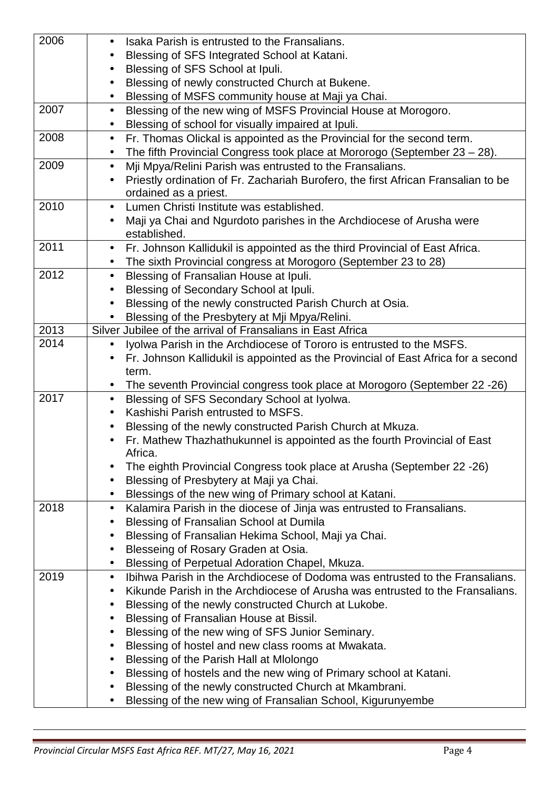| 2006 | Isaka Parish is entrusted to the Fransalians.<br>$\bullet$                                       |
|------|--------------------------------------------------------------------------------------------------|
|      | Blessing of SFS Integrated School at Katani.<br>$\bullet$                                        |
|      | Blessing of SFS School at Ipuli.<br>$\bullet$                                                    |
|      | Blessing of newly constructed Church at Bukene.<br>$\bullet$                                     |
|      | Blessing of MSFS community house at Maji ya Chai.<br>$\bullet$                                   |
| 2007 | Blessing of the new wing of MSFS Provincial House at Morogoro.<br>$\bullet$                      |
|      | Blessing of school for visually impaired at Ipuli.<br>$\bullet$                                  |
| 2008 | Fr. Thomas Olickal is appointed as the Provincial for the second term.<br>$\bullet$              |
|      | The fifth Provincial Congress took place at Mororogo (September $23 - 28$ ).<br>$\bullet$        |
| 2009 | Mji Mpya/Relini Parish was entrusted to the Fransalians.<br>$\bullet$                            |
|      | Priestly ordination of Fr. Zachariah Burofero, the first African Fransalian to be<br>$\bullet$   |
|      | ordained as a priest.                                                                            |
| 2010 | Lumen Christi Institute was established.<br>$\bullet$                                            |
|      | Maji ya Chai and Ngurdoto parishes in the Archdiocese of Arusha were                             |
|      | established.                                                                                     |
| 2011 | Fr. Johnson Kallidukil is appointed as the third Provincial of East Africa.<br>$\bullet$         |
|      | The sixth Provincial congress at Morogoro (September 23 to 28)                                   |
| 2012 | Blessing of Fransalian House at Ipuli.<br>$\bullet$                                              |
|      | Blessing of Secondary School at Ipuli.<br>$\bullet$                                              |
|      | Blessing of the newly constructed Parish Church at Osia.                                         |
|      | Blessing of the Presbytery at Mji Mpya/Relini.                                                   |
| 2013 | Silver Jubilee of the arrival of Fransalians in East Africa                                      |
| 2014 | Iyolwa Parish in the Archdiocese of Tororo is entrusted to the MSFS.<br>$\bullet$                |
|      | Fr. Johnson Kallidukil is appointed as the Provincial of East Africa for a second                |
|      | term.                                                                                            |
|      |                                                                                                  |
| 2017 | The seventh Provincial congress took place at Morogoro (September 22 - 26)                       |
|      | Blessing of SFS Secondary School at Iyolwa.<br>$\bullet$                                         |
|      | Kashishi Parish entrusted to MSFS.<br>$\bullet$                                                  |
|      | Blessing of the newly constructed Parish Church at Mkuza.<br>$\bullet$                           |
|      | Fr. Mathew Thazhathukunnel is appointed as the fourth Provincial of East<br>$\bullet$<br>Africa. |
|      | The eighth Provincial Congress took place at Arusha (September 22 - 26)                          |
|      | Blessing of Presbytery at Maji ya Chai.<br>$\bullet$                                             |
|      | Blessings of the new wing of Primary school at Katani.                                           |
| 2018 |                                                                                                  |
|      | Kalamira Parish in the diocese of Jinja was entrusted to Fransalians.<br>$\bullet$               |
|      | Blessing of Fransalian School at Dumila<br>$\bullet$                                             |
|      | Blessing of Fransalian Hekima School, Maji ya Chai.<br>$\bullet$                                 |
|      | Blesseing of Rosary Graden at Osia.<br>$\bullet$                                                 |
|      | Blessing of Perpetual Adoration Chapel, Mkuza.<br>$\bullet$                                      |
| 2019 | Ibihwa Parish in the Archdiocese of Dodoma was entrusted to the Fransalians.<br>$\bullet$        |
|      | Kikunde Parish in the Archdiocese of Arusha was entrusted to the Fransalians.<br>$\bullet$       |
|      | Blessing of the newly constructed Church at Lukobe.<br>$\bullet$                                 |
|      | Blessing of Fransalian House at Bissil.<br>٠                                                     |
|      | Blessing of the new wing of SFS Junior Seminary.<br>$\bullet$                                    |
|      | Blessing of hostel and new class rooms at Mwakata.<br>$\bullet$                                  |
|      | Blessing of the Parish Hall at Mlolongo<br>$\bullet$                                             |
|      | Blessing of hostels and the new wing of Primary school at Katani.<br>$\bullet$                   |
|      | Blessing of the newly constructed Church at Mkambrani.                                           |
|      | Blessing of the new wing of Fransalian School, Kigurunyembe                                      |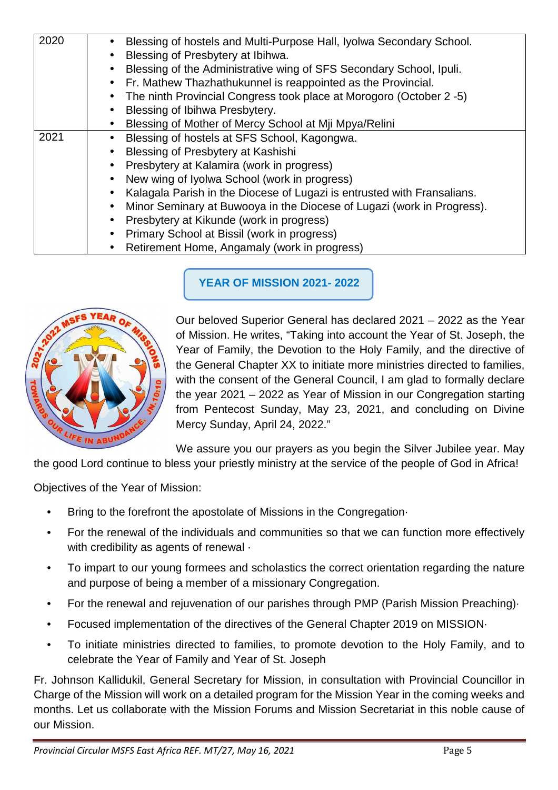| 2020 | Blessing of hostels and Multi-Purpose Hall, Iyolwa Secondary School.    |
|------|-------------------------------------------------------------------------|
|      | Blessing of Presbytery at Ibihwa.                                       |
|      | Blessing of the Administrative wing of SFS Secondary School, Ipuli.     |
|      | Fr. Mathew Thazhathukunnel is reappointed as the Provincial.            |
|      | The ninth Provincial Congress took place at Morogoro (October 2 -5)     |
|      | Blessing of Ibihwa Presbytery.<br>$\bullet$                             |
|      | Blessing of Mother of Mercy School at Miji Mpya/Relini                  |
| 2021 | Blessing of hostels at SFS School, Kagongwa.                            |
|      | Blessing of Presbytery at Kashishi<br>$\bullet$                         |
|      | Presbytery at Kalamira (work in progress)                               |
|      | New wing of Iyolwa School (work in progress)                            |
|      | Kalagala Parish in the Diocese of Lugazi is entrusted with Fransalians. |
|      | Minor Seminary at Buwooya in the Diocese of Lugazi (work in Progress).  |
|      | Presbytery at Kikunde (work in progress)                                |
|      | Primary School at Bissil (work in progress)                             |
|      | Retirement Home, Angamaly (work in progress)                            |

**YEAR OF MISSION 2021- 2022** 



Our beloved Superior General has declared 2021 – 2022 as the Year of Mission. He writes, "Taking into account the Year of St. Joseph, the Year of Family, the Devotion to the Holy Family, and the directive of the General Chapter XX to initiate more ministries directed to families, with the consent of the General Council, I am glad to formally declare the year 2021 – 2022 as Year of Mission in our Congregation starting from Pentecost Sunday, May 23, 2021, and concluding on Divine Mercy Sunday, April 24, 2022."

We assure you our prayers as you begin the Silver Jubilee year. May

the good Lord continue to bless your priestly ministry at the service of the people of God in Africa!

Objectives of the Year of Mission:

- Bring to the forefront the apostolate of Missions in the Congregation-
- For the renewal of the individuals and communities so that we can function more effectively with credibility as agents of renewal ·
- To impart to our young formees and scholastics the correct orientation regarding the nature and purpose of being a member of a missionary Congregation.
- For the renewal and rejuvenation of our parishes through PMP (Parish Mission Preaching)·
- Focused implementation of the directives of the General Chapter 2019 on MISSION·
- To initiate ministries directed to families, to promote devotion to the Holy Family, and to celebrate the Year of Family and Year of St. Joseph

Fr. Johnson Kallidukil, General Secretary for Mission, in consultation with Provincial Councillor in Charge of the Mission will work on a detailed program for the Mission Year in the coming weeks and months. Let us collaborate with the Mission Forums and Mission Secretariat in this noble cause of our Mission.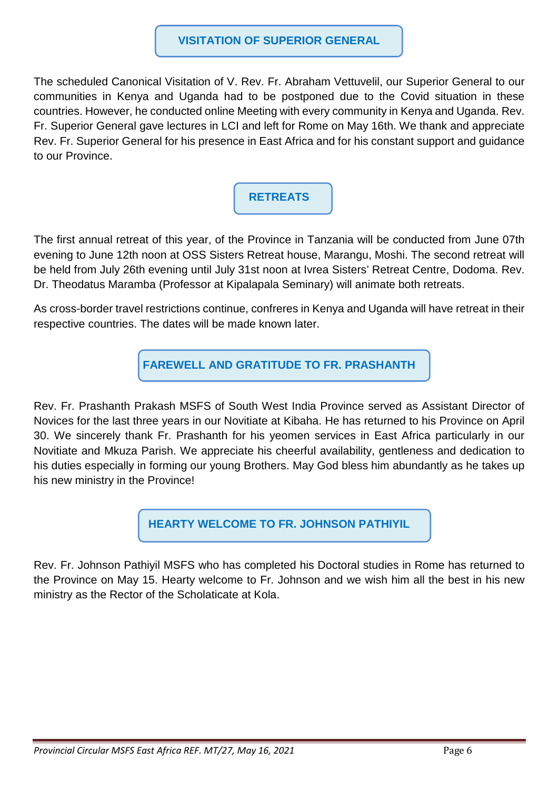#### **VISITATION OF SUPERIOR GENERAL**

The scheduled Canonical Visitation of V. Rev. Fr. Abraham Vettuvelil, our Superior General to our communities in Kenya and Uganda had to be postponed due to the Covid situation in these countries. However, he conducted online Meeting with every community in Kenya and Uganda. Rev. Fr. Superior General gave lectures in LCI and left for Rome on May 16th. We thank and appreciate Rev. Fr. Superior General for his presence in East Africa and for his constant support and guidance to our Province.

# **RETREATS**

The first annual retreat of this year, of the Province in Tanzania will be conducted from June 07th evening to June 12th noon at OSS Sisters Retreat house, Marangu, Moshi. The second retreat will be held from July 26th evening until July 31st noon at Ivrea Sisters' Retreat Centre, Dodoma. Rev. Dr. Theodatus Maramba (Professor at Kipalapala Seminary) will animate both retreats.

As cross-border travel restrictions continue, confreres in Kenya and Uganda will have retreat in their respective countries. The dates will be made known later.

**FAREWELL AND GRATITUDE TO FR. PRASHANTH** 

Rev. Fr. Prashanth Prakash MSFS of South West India Province served as Assistant Director of Novices for the last three years in our Novitiate at Kibaha. He has returned to his Province on April 30. We sincerely thank Fr. Prashanth for his yeomen services in East Africa particularly in our Novitiate and Mkuza Parish. We appreciate his cheerful availability, gentleness and dedication to his duties especially in forming our young Brothers. May God bless him abundantly as he takes up his new ministry in the Province!

**HEARTY WELCOME TO FR. JOHNSON PATHIYIL** 

Rev. Fr. Johnson Pathiyil MSFS who has completed his Doctoral studies in Rome has returned to the Province on May 15. Hearty welcome to Fr. Johnson and we wish him all the best in his new ministry as the Rector of the Scholaticate at Kola.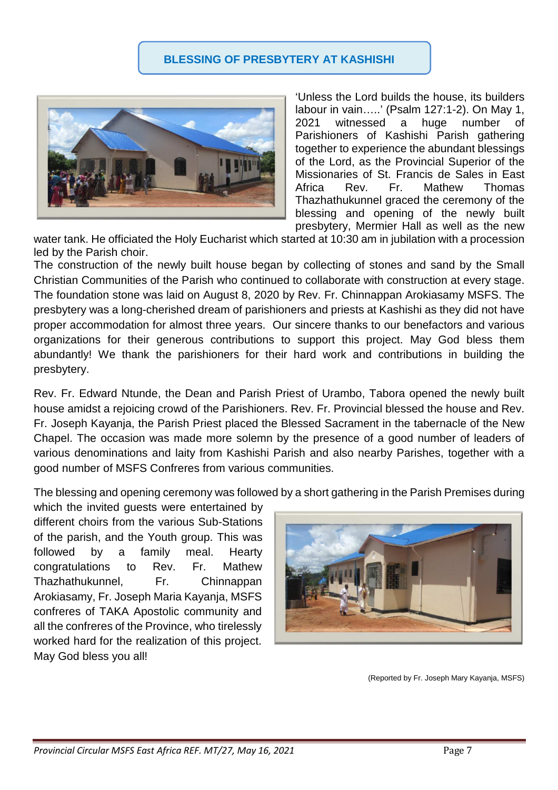### **BLESSING OF PRESBYTERY AT KASHISHI**



'Unless the Lord builds the house, its builders labour in vain…..' (Psalm 127:1-2). On May 1, 2021 witnessed a huge number of Parishioners of Kashishi Parish gathering together to experience the abundant blessings of the Lord, as the Provincial Superior of the Missionaries of St. Francis de Sales in East Africa Rev. Fr. Mathew Thomas Thazhathukunnel graced the ceremony of the blessing and opening of the newly built presbytery, Mermier Hall as well as the new

water tank. He officiated the Holy Eucharist which started at 10:30 am in jubilation with a procession led by the Parish choir.

The construction of the newly built house began by collecting of stones and sand by the Small Christian Communities of the Parish who continued to collaborate with construction at every stage. The foundation stone was laid on August 8, 2020 by Rev. Fr. Chinnappan Arokiasamy MSFS. The presbytery was a long-cherished dream of parishioners and priests at Kashishi as they did not have proper accommodation for almost three years. Our sincere thanks to our benefactors and various organizations for their generous contributions to support this project. May God bless them abundantly! We thank the parishioners for their hard work and contributions in building the presbytery.

Rev. Fr. Edward Ntunde, the Dean and Parish Priest of Urambo, Tabora opened the newly built house amidst a rejoicing crowd of the Parishioners. Rev. Fr. Provincial blessed the house and Rev. Fr. Joseph Kayanja, the Parish Priest placed the Blessed Sacrament in the tabernacle of the New Chapel. The occasion was made more solemn by the presence of a good number of leaders of various denominations and laity from Kashishi Parish and also nearby Parishes, together with a good number of MSFS Confreres from various communities.

The blessing and opening ceremony was followed by a short gathering in the Parish Premises during

which the invited guests were entertained by different choirs from the various Sub-Stations of the parish, and the Youth group. This was followed by a family meal. Hearty congratulations to Rev. Fr. Mathew Thazhathukunnel, Fr. Chinnappan Arokiasamy, Fr. Joseph Maria Kayanja, MSFS confreres of TAKA Apostolic community and all the confreres of the Province, who tirelessly worked hard for the realization of this project. May God bless you all!



(Reported by Fr. Joseph Mary Kayanja, MSFS)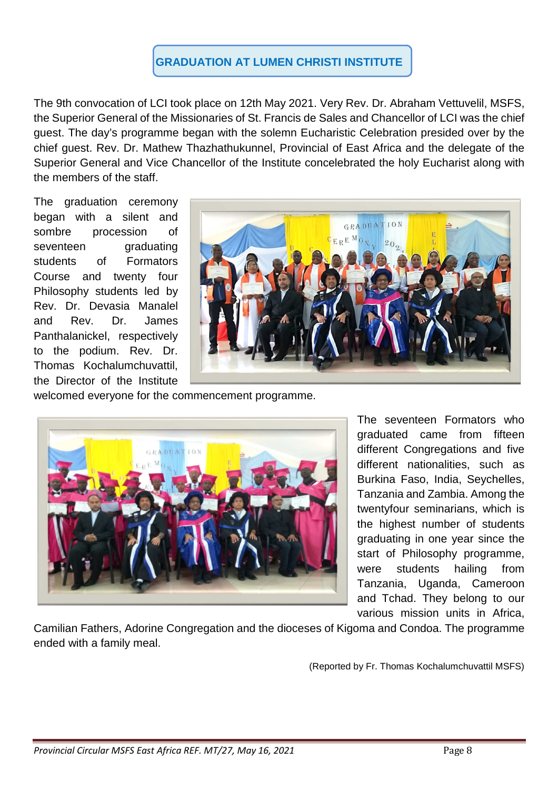# **GRADUATION AT LUMEN CHRISTI INSTITUTE**

The 9th convocation of LCI took place on 12th May 2021. Very Rev. Dr. Abraham Vettuvelil, MSFS, the Superior General of the Missionaries of St. Francis de Sales and Chancellor of LCI was the chief guest. The day's programme began with the solemn Eucharistic Celebration presided over by the chief guest. Rev. Dr. Mathew Thazhathukunnel, Provincial of East Africa and the delegate of the Superior General and Vice Chancellor of the Institute concelebrated the holy Eucharist along with the members of the staff.

The graduation ceremony began with a silent and sombre procession of seventeen graduating students of Formators Course and twenty four Philosophy students led by Rev. Dr. Devasia Manalel and Rev. Dr. James Panthalanickel, respectively to the podium. Rev. Dr. Thomas Kochalumchuvattil, the Director of the Institute



welcomed everyone for the commencement programme.



The seventeen Formators who graduated came from fifteen different Congregations and five different nationalities, such as Burkina Faso, India, Seychelles, Tanzania and Zambia. Among the twentyfour seminarians, which is the highest number of students graduating in one year since the start of Philosophy programme, were students hailing from Tanzania, Uganda, Cameroon and Tchad. They belong to our various mission units in Africa,

Camilian Fathers, Adorine Congregation and the dioceses of Kigoma and Condoa. The programme ended with a family meal.

(Reported by Fr. Thomas Kochalumchuvattil MSFS)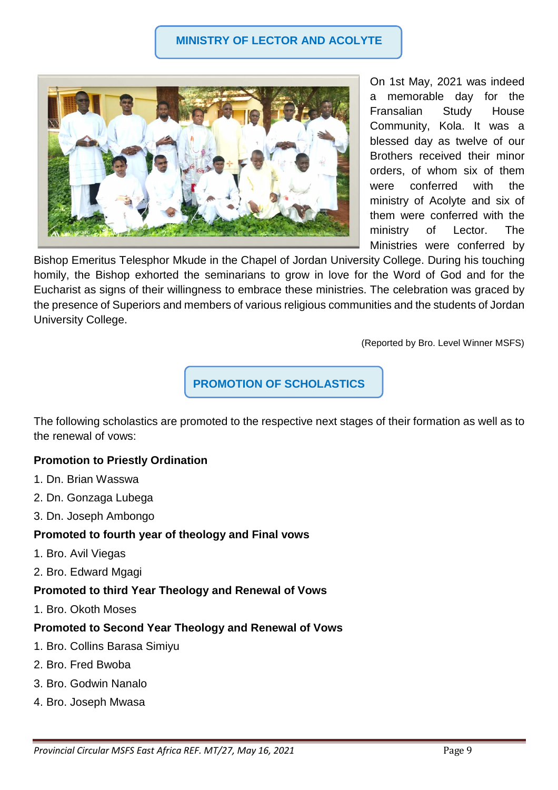

On 1st May, 2021 was indeed a memorable day for the Fransalian Study House Community, Kola. It was a blessed day as twelve of our Brothers received their minor orders, of whom six of them were conferred with the ministry of Acolyte and six of them were conferred with the ministry of Lector. The Ministries were conferred by

Bishop Emeritus Telesphor Mkude in the Chapel of Jordan University College. During his touching homily, the Bishop exhorted the seminarians to grow in love for the Word of God and for the Eucharist as signs of their willingness to embrace these ministries. The celebration was graced by the presence of Superiors and members of various religious communities and the students of Jordan University College.

(Reported by Bro. Level Winner MSFS)

### **PROMOTION OF SCHOLASTICS**

The following scholastics are promoted to the respective next stages of their formation as well as to the renewal of vows:

### **Promotion to Priestly Ordination**

- 1. Dn. Brian Wasswa
- 2. Dn. Gonzaga Lubega
- 3. Dn. Joseph Ambongo

### **Promoted to fourth year of theology and Final vows**

- 1. Bro. Avil Viegas
- 2. Bro. Edward Mgagi
- **Promoted to third Year Theology and Renewal of Vows**
- 1. Bro. Okoth Moses

#### **Promoted to Second Year Theology and Renewal of Vows**

- 1. Bro. Collins Barasa Simiyu
- 2. Bro. Fred Bwoba
- 3. Bro. Godwin Nanalo
- 4. Bro. Joseph Mwasa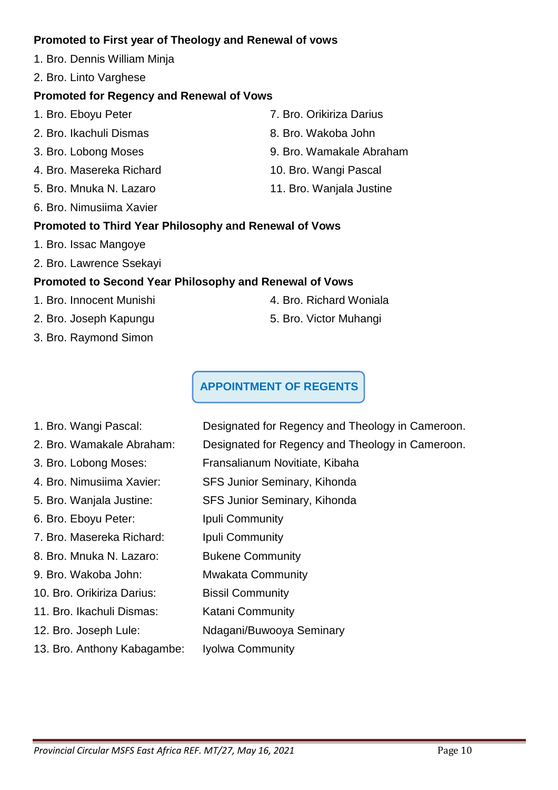### **Promoted to First year of Theology and Renewal of vows**

- 1. Bro. Dennis William Minja
- 2. Bro. Linto Varghese

# **Promoted for Regency and Renewal of Vows**

- 1. Bro. Eboyu Peter 7. Bro. Orikiriza Darius 2. Bro. Ikachuli Dismas 8. Bro. Wakoba John 3. Bro. Lobong Moses 9. Bro. Wamakale Abraham 4. Bro. Masereka Richard 10. Bro. Wangi Pascal
- 5. Bro. Mnuka N. Lazaro 11. Bro. Wanjala Justine
- 6. Bro. Nimusiima Xavier

# **Promoted to Third Year Philosophy and Renewal of Vows**

- 1. Bro. Issac Mangoye
- 2. Bro. Lawrence Ssekayi

# **Promoted to Second Year Philosophy and Renewal of Vows**

- 1. Bro. Innocent Munishi 4. Bro. Richard Woniala
- 2. Bro. Joseph Kapungu 5. Bro. Victor Muhangi
- 3. Bro. Raymond Simon
- 
- 

# **APPOINTMENT OF REGENTS**

- 1. Bro. Wangi Pascal: Designated for Regency and Theology in Cameroon.
- 2. Bro. Wamakale Abraham: Designated for Regency and Theology in Cameroon.
- 3. Bro. Lobong Moses: Fransalianum Novitiate, Kibaha
- 4. Bro. Nimusiima Xavier: SFS Junior Seminary, Kihonda
- 5. Bro. Wanjala Justine: SFS Junior Seminary, Kihonda
- 6. Bro. Eboyu Peter: Ipuli Community
- 7. Bro. Masereka Richard: Ipuli Community
- 8. Bro. Mnuka N. Lazaro: Bukene Community
- 9. Bro. Wakoba John: Mwakata Community
- 10. Bro. Orikiriza Darius: Bissil Community
- 11. Bro. Ikachuli Dismas: Katani Community
- 12. Bro. Joseph Lule: Ndagani/Buwooya Seminary
- 13. Bro. Anthony Kabagambe: Iyolwa Community
- 
-